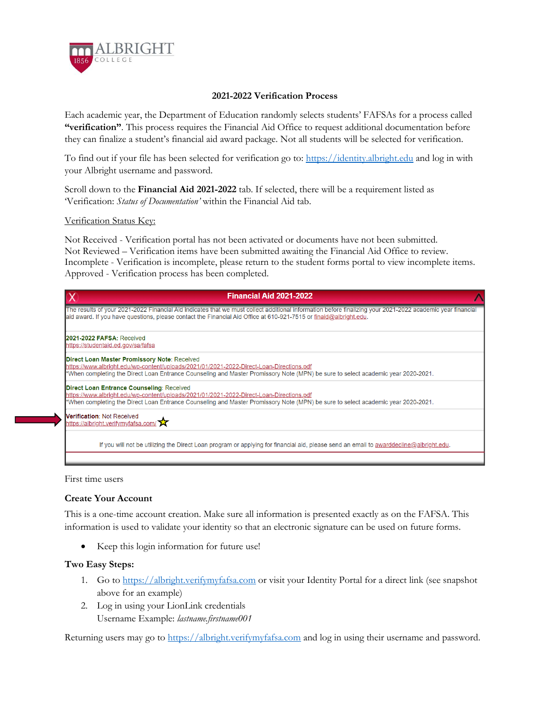

## **2021-2022 Verification Process**

Each academic year, the Department of Education randomly selects students' FAFSAs for a process called **"verification"**. This process requires the Financial Aid Office to request additional documentation before they can finalize a student's financial aid award package. Not all students will be selected for verification.

To find out if your file has been selected for verification go to: [https://identity.albright.edu](https://identity.albright.edu/) and log in with your Albright username and password.

Scroll down to the **Financial Aid 2021-2022** tab. If selected, there will be a requirement listed as 'Verification: *Status of Documentation'* within the Financial Aid tab.

## Verification Status Key:

Not Received - Verification portal has not been activated or documents have not been submitted. Not Reviewed – Verification items have been submitted awaiting the Financial Aid Office to review. Incomplete - Verification is incomplete, please return to the student forms portal to view incomplete items. Approved - Verification process has been completed.



First time users

## **Create Your Account**

This is a one-time account creation. Make sure all information is presented exactly as on the FAFSA. This information is used to validate your identity so that an electronic signature can be used on future forms.

Keep this login information for future use!

## **Two Easy Steps:**

- 1. Go to [https://albright.verifymyfafsa.com](https://albright.verifymyfafsa.com/) or visit your Identity Portal for a direct link (see snapshot above for an example)
- 2. Log in using your LionLink credentials Username Example: *lastname.firstname001*

Returning users may go t[o https://albright.verifymyfafsa.com](https://albright.verifymyfafsa.com/) and log in using their username and password.